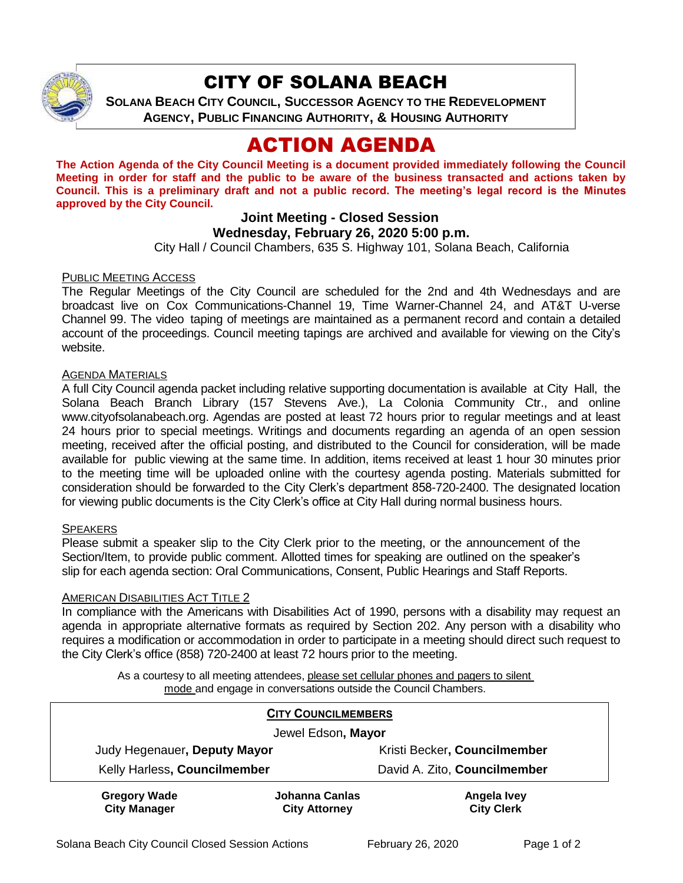

## CITY OF SOLANA BEACH

**SOLANA BEACH CITY COUNCIL, SUCCESSOR AGENCY TO THE REDEVELOPMENT AGENCY, PUBLIC FINANCING AUTHORITY, & HOUSING AUTHORITY**

# ACTION AGENDA

**The Action Agenda of the City Council Meeting is a document provided immediately following the Council Meeting in order for staff and the public to be aware of the business transacted and actions taken by Council. This is a preliminary draft and not a public record. The meeting's legal record is the Minutes approved by the City Council.**

## **Joint Meeting - Closed Session**

### **Wednesday, February 26, 2020 5:00 p.m.**

City Hall / Council Chambers, 635 S. Highway 101, Solana Beach, California

#### PUBLIC MEETING ACCESS

The Regular Meetings of the City Council are scheduled for the 2nd and 4th Wednesdays and are broadcast live on Cox Communications-Channel 19, Time Warner-Channel 24, and AT&T U-verse Channel 99. The video taping of meetings are maintained as a permanent record and contain a detailed account of the proceedings. Council meeting tapings are archived and available for viewing on the City's website.

#### AGENDA MATERIALS

A full City Council agenda packet including relative supporting documentation is available at City Hall, the Solana Beach Branch Library (157 Stevens Ave.), La Colonia Community Ctr., and online [www.cityofsolanabeach.org.](http://www.cityofsolanabeach.org/) Agendas are posted at least 72 hours prior to regular meetings and at least 24 hours prior to special meetings. Writings and documents regarding an agenda of an open session meeting, received after the official posting, and distributed to the Council for consideration, will be made available for public viewing at the same time. In addition, items received at least 1 hour 30 minutes prior to the meeting time will be uploaded online with the courtesy agenda posting. Materials submitted for consideration should be forwarded to the City Clerk's department 858-720-2400. The designated location for viewing public documents is the City Clerk's office at City Hall during normal business hours.

#### **SPEAKERS**

Please submit a speaker slip to the City Clerk prior to the meeting, or the announcement of the Section/Item, to provide public comment. Allotted times for speaking are outlined on the speaker's slip for each agenda section: Oral Communications, Consent, Public Hearings and Staff Reports.

#### AMERICAN DISABILITIES ACT TITLE 2

In compliance with the Americans with Disabilities Act of 1990, persons with a disability may request an agenda in appropriate alternative formats as required by Section 202. Any person with a disability who requires a modification or accommodation in order to participate in a meeting should direct such request to the City Clerk's office (858) 720-2400 at least 72 hours prior to the meeting.

As a courtesy to all meeting attendees, please set cellular phones and pagers to silent mode and engage in conversations outside the Council Chambers.

| <b>CITY COUNCILMEMBERS</b>                 |                                        |                                  |
|--------------------------------------------|----------------------------------------|----------------------------------|
| Jewel Edson, Mayor                         |                                        |                                  |
| Judy Hegenauer, Deputy Mayor               |                                        | Kristi Becker, Councilmember     |
| Kelly Harless, Councilmember               |                                        | David A. Zito, Councilmember     |
| <b>Gregory Wade</b><br><b>City Manager</b> | Johanna Canlas<br><b>City Attorney</b> | Angela Ivey<br><b>City Clerk</b> |